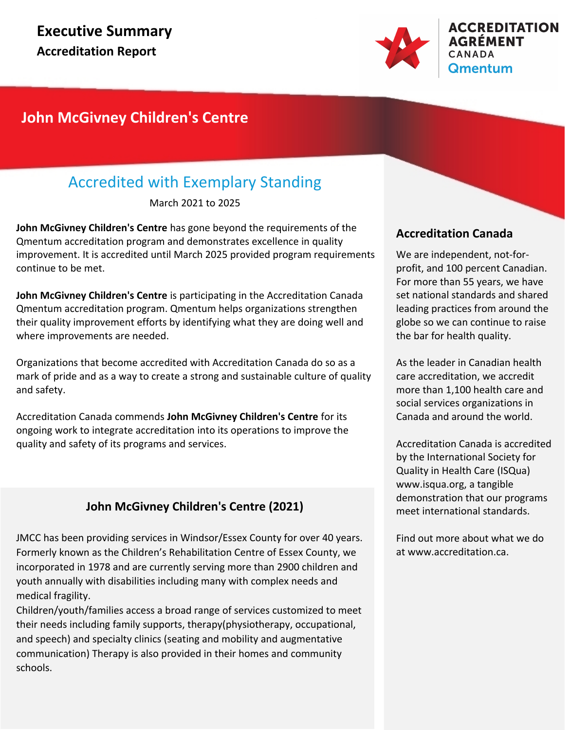

### **John McGivney Children's Centre**

### Accredited with Exemplary Standing

March 2021 to 2025

**John McGivney Children's Centre** has gone beyond the requirements of the Qmentum accreditation program and demonstrates excellence in quality improvement. It is accredited until March 2025 provided program requirements continue to be met.

**John McGivney Children's Centre** is participating in the Accreditation Canada Qmentum accreditation program. Qmentum helps organizations strengthen their quality improvement efforts by identifying what they are doing well and where improvements are needed.

Organizations that become accredited with Accreditation Canada do so as a mark of pride and as a way to create a strong and sustainable culture of quality and safety.

Accreditation Canada commends **John McGivney Children's Centre** for its ongoing work to integrate accreditation into its operations to improve the quality and safety of its programs and services.

### **John McGivney Children's Centre (2021)**

JMCC has been providing services in Windsor/Essex County for over 40 years. Formerly known as the Children's Rehabilitation Centre of Essex County, we incorporated in 1978 and are currently serving more than 2900 children and youth annually with disabilities including many with complex needs and medical fragility.

Children/youth/families access a broad range of services customized to meet their needs including family supports, therapy(physiotherapy, occupational, and speech) and specialty clinics (seating and mobility and augmentative communication) Therapy is also provided in their homes and community schools.

### **Accreditation Canada**

We are independent, not-forprofit, and 100 percent Canadian. For more than 55 years, we have set national standards and shared leading practices from around the globe so we can continue to raise the bar for health quality.

As the leader in Canadian health care accreditation, we accredit more than 1,100 health care and social services organizations in Canada and around the world.

Accreditation Canada is accredited by the International Society for Quality in Health Care (ISQua) www.isqua.org, a tangible demonstration that our programs meet international standards.

Find out more about what we do at www.accreditation.ca.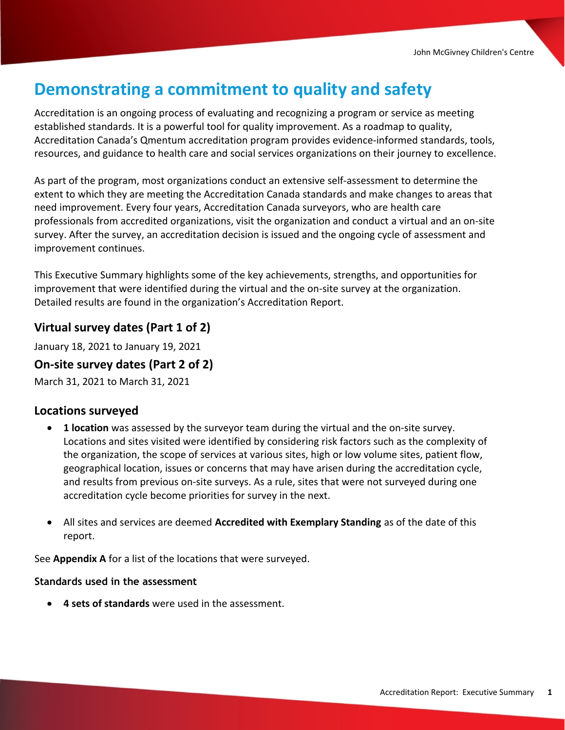## Demonstrating a commitment to quality and safety

Accreditation is an ongoing process of evaluating and recognizing a program or service as meeting established standards. It is a powerful tool for quality improvement. As a roadmap to quality, Accreditation Canada's Qmentum accreditation program provides evidence-informed standards, tools, resources, and guidance to health care and social services organizations on their journey to excellence.

As part of the program, most organizations conduct an extensive self-assessment to determine the extent to which they are meeting the Accreditation Canada standards and make changes to areas that need improvement. Every four years, Accreditation Canada surveyors, who are health care professionals from accredited organizations, visit the organization and conduct a virtual and an on-site survey. After the survey, an accreditation decision is issued and the ongoing cycle of assessment and improvement continues.

This Executive Summary highlights some of the key achievements, strengths, and opportunities for improvement that were identified during the virtual and the on-site survey at the organization. Detailed results are found in the organization's Accreditation Report.

#### **Virtual survey dates (Part 1 of 2)**

January 18, 2021 to January 19, 2021

#### On-site survey dates **(Part 2 of 2)**

March 31, 2021 to March 31, 2021

#### Locations surveyed

- · 1 location was assessed by the surveyor team during the virtual and the on-site survey. Locations and sites visited were identified by considering risk factors such as the complexity of the organization, the scope of services at various sites, high or low volume sites, patient flow, geographical location, issues or concerns that may have arisen during the accreditation cycle, and results from previous on-site surveys. As a rule, sites that were not surveyed during one accreditation cycle become priorities for survey in the next.
- All sites and services are deemed Accredited with Exemplary Standing as of the date of this report.

See Appendix A for a list of the locations that were surveyed.

#### **Standards used in the assessment**

· 4 sets of standards were used in the assessment.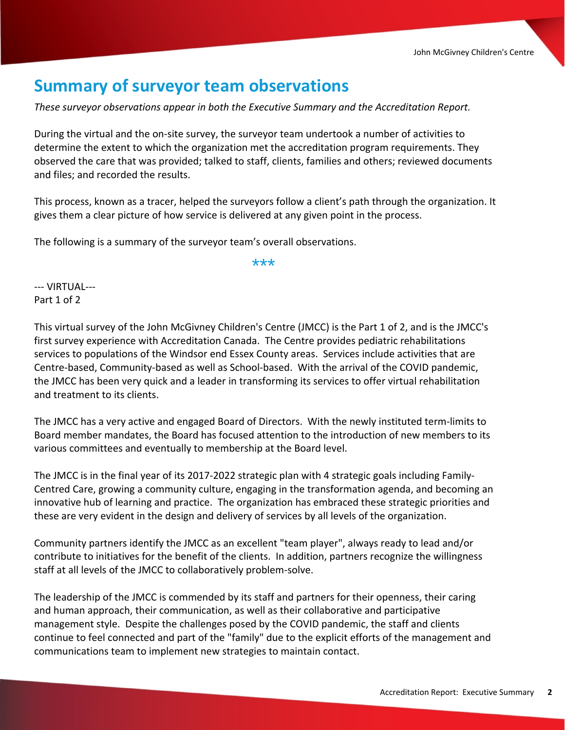## **Summary of surveyor team observations**

*These surveyor observations appear in both the Executive Summary and the Accreditation Report.*

During the virtual and the on-site survey, the surveyor team undertook a number of activities to determine the extent to which the organization met the accreditation program requirements. They observed the care that was provided; talked to staff, clients, families and others; reviewed documents and files; and recorded the results.

This process, known as a tracer, helped the surveyors follow a client's path through the organization. It gives them a clear picture of how service is delivered at any given point in the process.

The following is a summary of the surveyor team's overall observations.

\*\*\*

--- VIRTUAL--- Part 1 of 2

This virtual survey of the John McGivney Children's Centre (JMCC) is the Part 1 of 2, and is the JMCC's first survey experience with Accreditation Canada. The Centre provides pediatric rehabilitations services to populations of the Windsor end Essex County areas. Services include activities that are Centre-based, Community-based as well as School-based. With the arrival of the COVID pandemic, the JMCC has been very quick and a leader in transforming its services to offer virtual rehabilitation and treatment to its clients.

The JMCC has a very active and engaged Board of Directors. With the newly instituted term-limits to Board member mandates, the Board has focused attention to the introduction of new members to its various committees and eventually to membership at the Board level.

The JMCC is in the final year of its 2017-2022 strategic plan with 4 strategic goals including Family-Centred Care, growing a community culture, engaging in the transformation agenda, and becoming an innovative hub of learning and practice. The organization has embraced these strategic priorities and these are very evident in the design and delivery of services by all levels of the organization.

Community partners identify the JMCC as an excellent "team player", always ready to lead and/or contribute to initiatives for the benefit of the clients. In addition, partners recognize the willingness staff at all levels of the JMCC to collaboratively problem-solve.

The leadership of the JMCC is commended by its staff and partners for their openness, their caring and human approach, their communication, as well as their collaborative and participative management style. Despite the challenges posed by the COVID pandemic, the staff and clients continue to feel connected and part of the "family" due to the explicit efforts of the management and communications team to implement new strategies to maintain contact.

A high percentage of staff at the JMCC are long-standing employees, and this can partly be attributed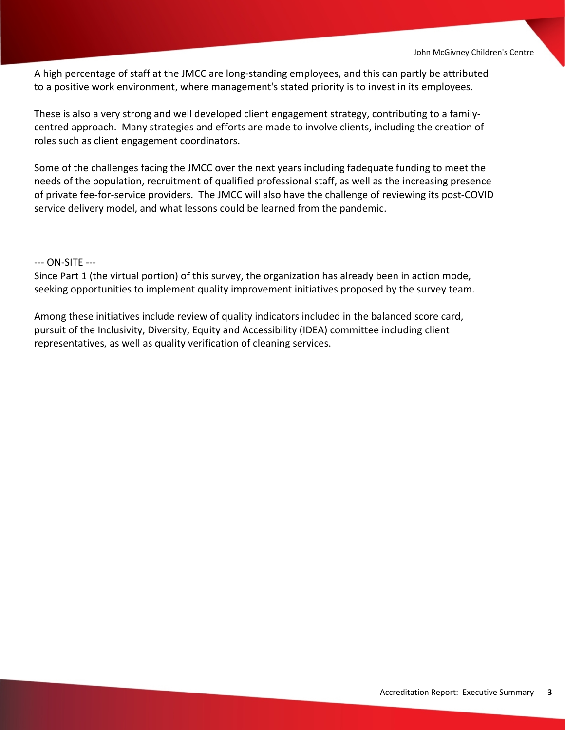A high percentage of staff at the JMCC are long-standing employees, and this can partly be attributed to a positive work environment, where management's stated priority is to invest in its employees.

These is also a very strong and well developed client engagement strategy, contributing to a familycentred approach. Many strategies and efforts are made to involve clients, including the creation of roles such as client engagement coordinators.

Some of the challenges facing the JMCC over the next years including fadequate funding to meet the needs of the population, recruitment of qualified professional staff, as well as the increasing presence of private fee-for-service providers. The JMCC will also have the challenge of reviewing its post-COVID service delivery model, and what lessons could be learned from the pandemic.

#### --- ON-SITE ---

Since Part 1 (the virtual portion) of this survey, the organization has already been in action mode, seeking opportunities to implement quality improvement initiatives proposed by the survey team.

Among these initiatives include review of quality indicators included in the balanced score card, pursuit of the Inclusivity, Diversity, Equity and Accessibility (IDEA) committee including client representatives, as well as quality verification of cleaning services.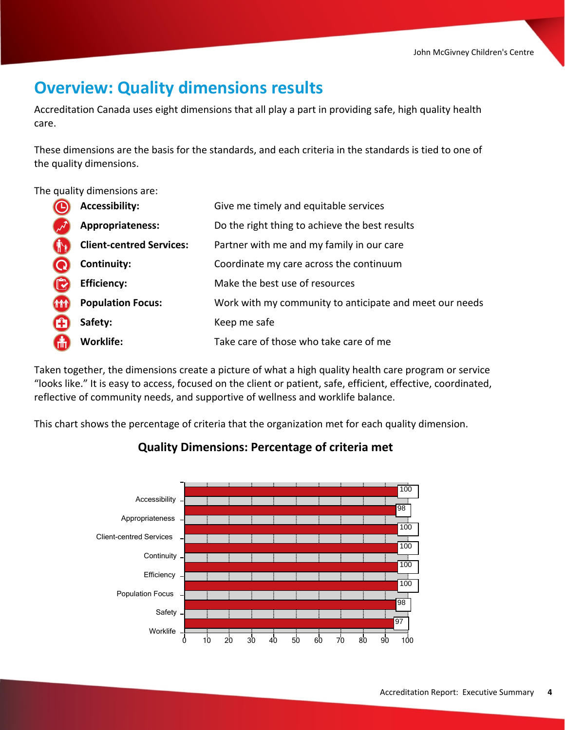## **Overview: Quality dimensions results**

Accreditation Canada uses eight dimensions that all play a part in providing safe, high quality health care.

These dimensions are the basis for the standards, and each criteria in the standards is tied to one of the quality dimensions.

The quality dimensions are:

|            | <b>Accessibility:</b>           | Give me timely and equitable services                   |
|------------|---------------------------------|---------------------------------------------------------|
|            | Appropriateness:                | Do the right thing to achieve the best results          |
|            | <b>Client-centred Services:</b> | Partner with me and my family in our care               |
|            | Continuity:                     | Coordinate my care across the continuum                 |
|            | <b>Efficiency:</b>              | Make the best use of resources                          |
| <b>THT</b> | <b>Population Focus:</b>        | Work with my community to anticipate and meet our needs |
|            | Safety:                         | Keep me safe                                            |
| 偳          | <b>Worklife:</b>                | Take care of those who take care of me                  |

Taken together, the dimensions create a picture of what a high quality health care program or service "looks like." It is easy to access, focused on the client or patient, safe, efficient, effective, coordinated, reflective of community needs, and supportive of wellness and worklife balance.

This chart shows the percentage of criteria that the organization met for each quality dimension.



#### **Quality Dimensions: Percentage of criteria met**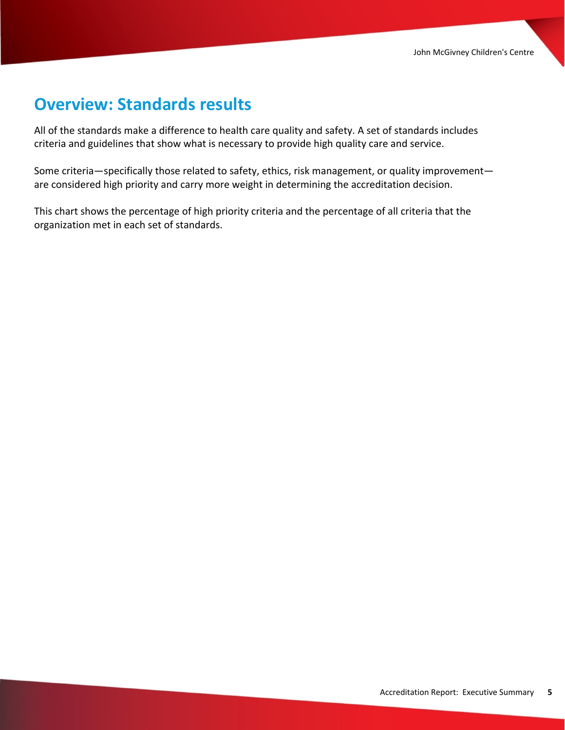## **Overview: Standards results**

All of the standards make a difference to health care quality and safety. A set of standards includes criteria and guidelines that show what is necessary to provide high quality care and service.

Some criteria—specifically those related to safety, ethics, risk management, or quality improvement are considered high priority and carry more weight in determining the accreditation decision.

This chart shows the percentage of high priority criteria and the percentage of all criteria that the organization met in each set of standards.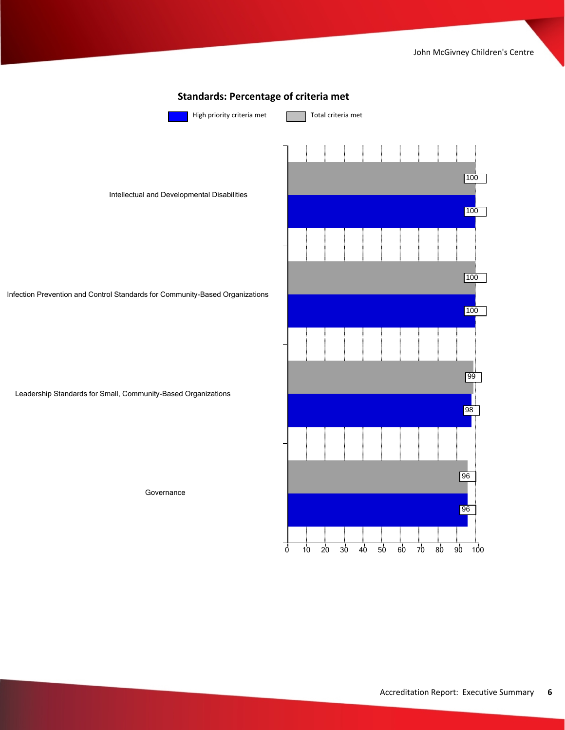

#### Accreditation Report: Executive Summary **6**

0 10 20 30 40 50 60 70 80 90 100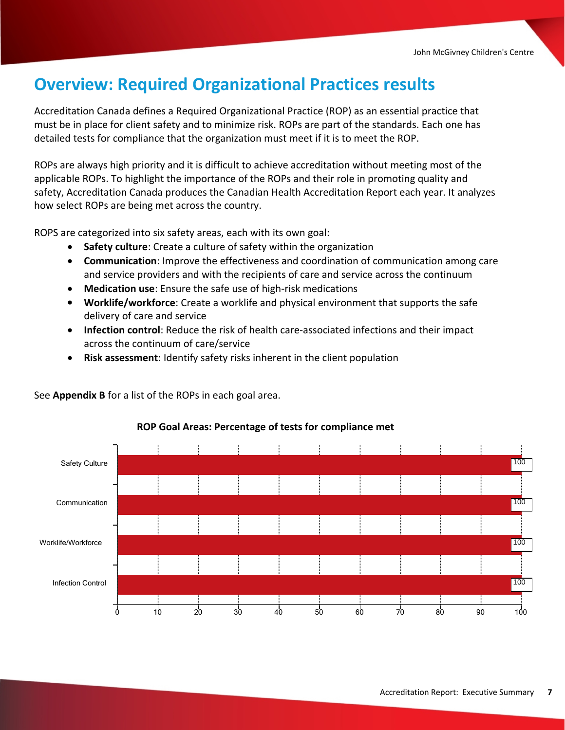## **Overview: Required Organizational Practices results**

Accreditation Canada defines a Required Organizational Practice (ROP) as an essential practice that must be in place for client safety and to minimize risk. ROPs are part of the standards. Each one has detailed tests for compliance that the organization must meet if it is to meet the ROP.

ROPs are always high priority and it is difficult to achieve accreditation without meeting most of the applicable ROPs. To highlight the importance of the ROPs and their role in promoting quality and safety, Accreditation Canada produces the Canadian Health Accreditation Report each year. It analyzes how select ROPs are being met across the country.

ROPS are categorized into six safety areas, each with its own goal:

- · **Safety culture**: Create a culture of safety within the organization
- · **Communication**: Improve the effectiveness and coordination of communication among care and service providers and with the recipients of care and service across the continuum
- · **Medication use**: Ensure the safe use of high-risk medications
- · **Worklife/workforce**: Create a worklife and physical environment that supports the safe delivery of care and service
- · **Infection control**: Reduce the risk of health care-associated infections and their impact across the continuum of care/service
- · **Risk assessment**: Identify safety risks inherent in the client population



See **Appendix B** for a list of the ROPs in each goal area.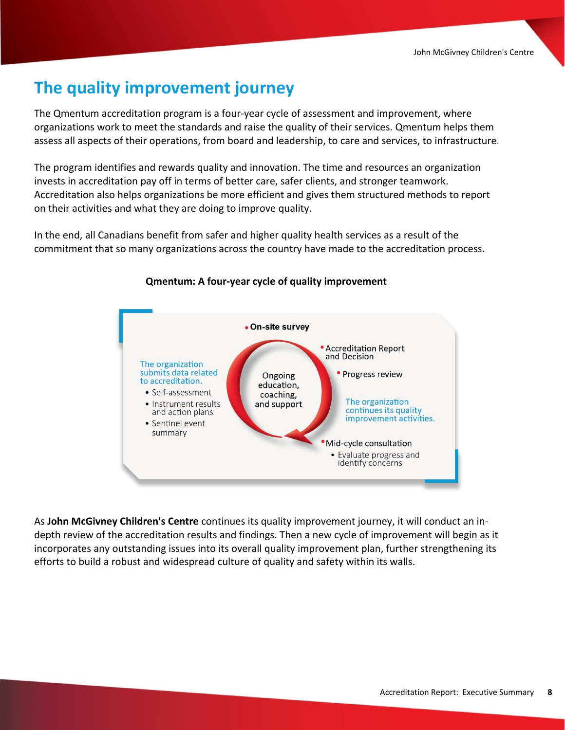## **The quality improvement journey**

The Qmentum accreditation program is a four-year cycle of assessment and improvement, where organizations work to meet the standards and raise the quality of their services. Qmentum helps them assess all aspects of their operations, from board and leadership, to care and services, to infrastructure.

The program identifies and rewards quality and innovation. The time and resources an organization invests in accreditation pay off in terms of better care, safer clients, and stronger teamwork. Accreditation also helps organizations be more efficient and gives them structured methods to report on their activities and what they are doing to improve quality.

In the end, all Canadians benefit from safer and higher quality health services as a result of the commitment that so many organizations across the country have made to the accreditation process.



#### **Qmentum: A four-year cycle of quality improvement**

As **John McGivney Children's Centre** continues its quality improvement journey, it will conduct an indepth review of the accreditation results and findings. Then a new cycle of improvement will begin as it incorporates any outstanding issues into its overall quality improvement plan, further strengthening its efforts to build a robust and widespread culture of quality and safety within its walls.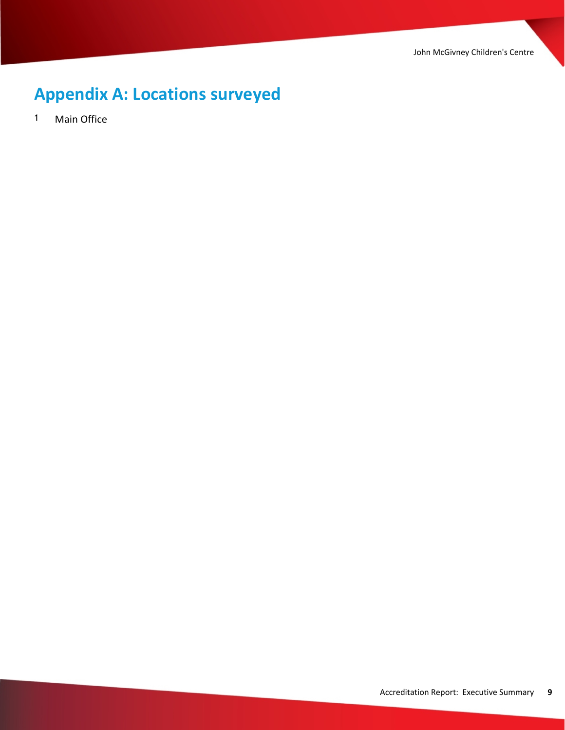John McGivney Children's Centre

# **Appendix A: Locations surveyed**

1 Main Office